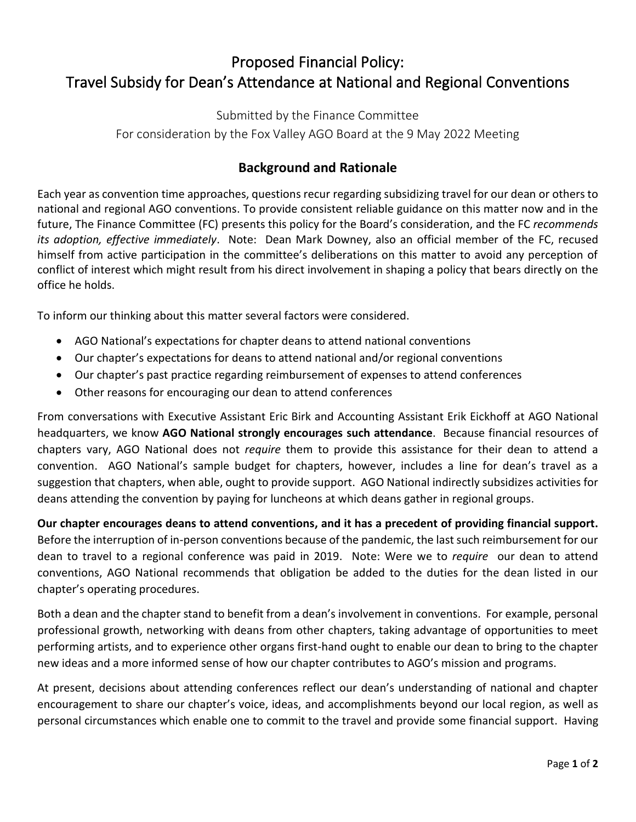## Proposed Financial Policy: Travel Subsidy for Dean's Attendance at National and Regional Conventions

Submitted by the Finance Committee For consideration by the Fox Valley AGO Board at the 9 May 2022 Meeting

## **Background and Rationale**

Each year as convention time approaches, questions recur regarding subsidizing travel for our dean or others to national and regional AGO conventions. To provide consistent reliable guidance on this matter now and in the future, The Finance Committee (FC) presents this policy for the Board's consideration, and the FC *recommends its adoption, effective immediately*. Note: Dean Mark Downey, also an official member of the FC, recused himself from active participation in the committee's deliberations on this matter to avoid any perception of conflict of interest which might result from his direct involvement in shaping a policy that bears directly on the office he holds.

To inform our thinking about this matter several factors were considered.

- AGO National's expectations for chapter deans to attend national conventions
- Our chapter's expectations for deans to attend national and/or regional conventions
- Our chapter's past practice regarding reimbursement of expenses to attend conferences
- Other reasons for encouraging our dean to attend conferences

From conversations with Executive Assistant Eric Birk and Accounting Assistant Erik Eickhoff at AGO National headquarters, we know **AGO National strongly encourages such attendance**. Because financial resources of chapters vary, AGO National does not *require* them to provide this assistance for their dean to attend a convention. AGO National's sample budget for chapters, however, includes a line for dean's travel as a suggestion that chapters, when able, ought to provide support. AGO National indirectly subsidizes activities for deans attending the convention by paying for luncheons at which deans gather in regional groups.

**Our chapter encourages deans to attend conventions, and it has a precedent of providing financial support.**  Before the interruption of in-person conventions because of the pandemic, the last such reimbursement for our dean to travel to a regional conference was paid in 2019. Note: Were we to *require* our dean to attend conventions, AGO National recommends that obligation be added to the duties for the dean listed in our chapter's operating procedures.

Both a dean and the chapter stand to benefit from a dean's involvement in conventions. For example, personal professional growth, networking with deans from other chapters, taking advantage of opportunities to meet performing artists, and to experience other organs first-hand ought to enable our dean to bring to the chapter new ideas and a more informed sense of how our chapter contributes to AGO's mission and programs.

At present, decisions about attending conferences reflect our dean's understanding of national and chapter encouragement to share our chapter's voice, ideas, and accomplishments beyond our local region, as well as personal circumstances which enable one to commit to the travel and provide some financial support. Having